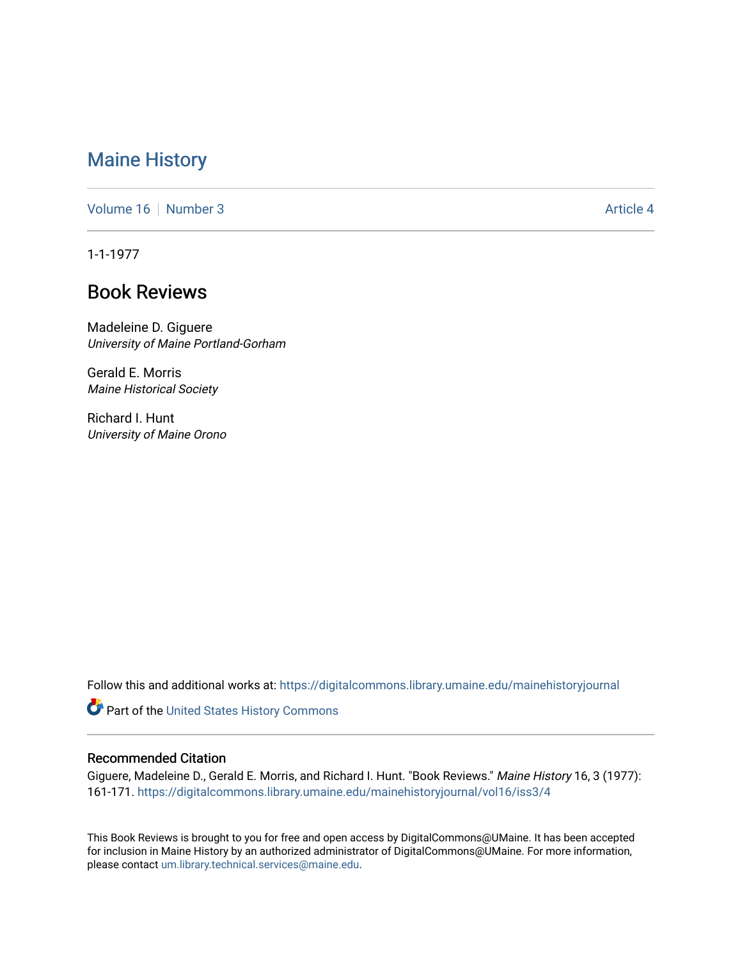## [Maine History](https://digitalcommons.library.umaine.edu/mainehistoryjournal)

[Volume 16](https://digitalcommons.library.umaine.edu/mainehistoryjournal/vol16) [Number 3](https://digitalcommons.library.umaine.edu/mainehistoryjournal/vol16/iss3) Article 4

1-1-1977

## Book Reviews

Madeleine D. Giguere University of Maine Portland-Gorham

Gerald E. Morris Maine Historical Society

Richard I. Hunt University of Maine Orono

Follow this and additional works at: [https://digitalcommons.library.umaine.edu/mainehistoryjournal](https://digitalcommons.library.umaine.edu/mainehistoryjournal?utm_source=digitalcommons.library.umaine.edu%2Fmainehistoryjournal%2Fvol16%2Fiss3%2F4&utm_medium=PDF&utm_campaign=PDFCoverPages) 

Part of the [United States History Commons](http://network.bepress.com/hgg/discipline/495?utm_source=digitalcommons.library.umaine.edu%2Fmainehistoryjournal%2Fvol16%2Fiss3%2F4&utm_medium=PDF&utm_campaign=PDFCoverPages) 

## Recommended Citation

Giguere, Madeleine D., Gerald E. Morris, and Richard I. Hunt. "Book Reviews." Maine History 16, 3 (1977): 161-171. [https://digitalcommons.library.umaine.edu/mainehistoryjournal/vol16/iss3/4](https://digitalcommons.library.umaine.edu/mainehistoryjournal/vol16/iss3/4?utm_source=digitalcommons.library.umaine.edu%2Fmainehistoryjournal%2Fvol16%2Fiss3%2F4&utm_medium=PDF&utm_campaign=PDFCoverPages) 

This Book Reviews is brought to you for free and open access by DigitalCommons@UMaine. It has been accepted for inclusion in Maine History by an authorized administrator of DigitalCommons@UMaine. For more information, please contact [um.library.technical.services@maine.edu.](mailto:um.library.technical.services@maine.edu)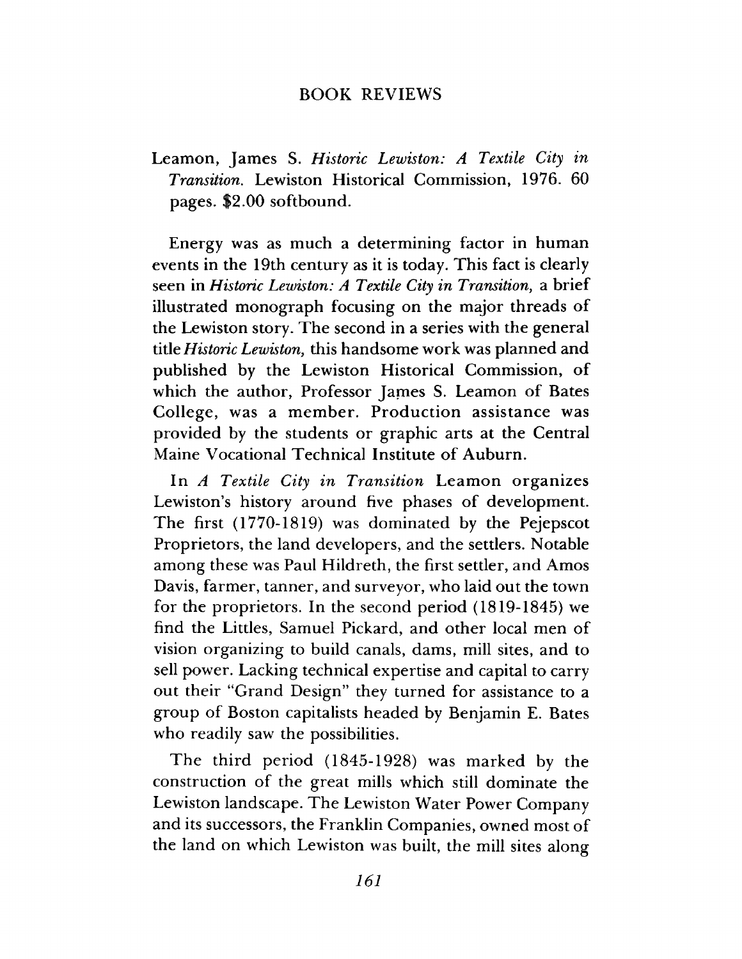## BOOK REVIEWS

Leamon, James S. *Historic Lewiston: A Textile City in Transition.* Lewiston Historical Commission, 1976. 60 pages. \$2.00 softbound.

Energy was as much a determining factor in human events in the 19th century as it is today. This fact is clearly seen in *Historic Lewiston: A Textile City in Transition*, a brief illustrated monograph focusing on the major threads of the Lewiston story. The second in a series with the general title *Historic Lewiston*, this handsome work was planned and published by the Lewiston Historical Commission, of which the author, Professor James S. Leamon of Bates College, was a member. Production assistance was provided by the students or graphic arts at the Central Maine Vocational Technical Institute of Auburn.

In *A Textile City in Transition* Leamon organizes Lewiston's history around five phases of development. The first (1770-1819) was dominated by the Pejepscot Proprietors, the land developers, and the settlers. Notable among these was Paul Hildreth, the first settler, and Amos Davis, farmer, tanner, and surveyor, who laid out the town for the proprietors. In the second period (1819-1845) we find the Littles, Samuel Pickard, and other local men of vision organizing to build canals, dams, mill sites, and to sell power. Lacking technical expertise and capital to carry out their "Grand Design" they turned for assistance to a group of Boston capitalists headed by Benjamin E. Bates who readily saw the possibilities.

The third period (1845-1928) was marked by the construction of the great mills which still dominate the Lewiston landscape. The Lewiston Water Power Company and its successors, the Franklin Companies, owned most of the land on which Lewiston was built, the mill sites along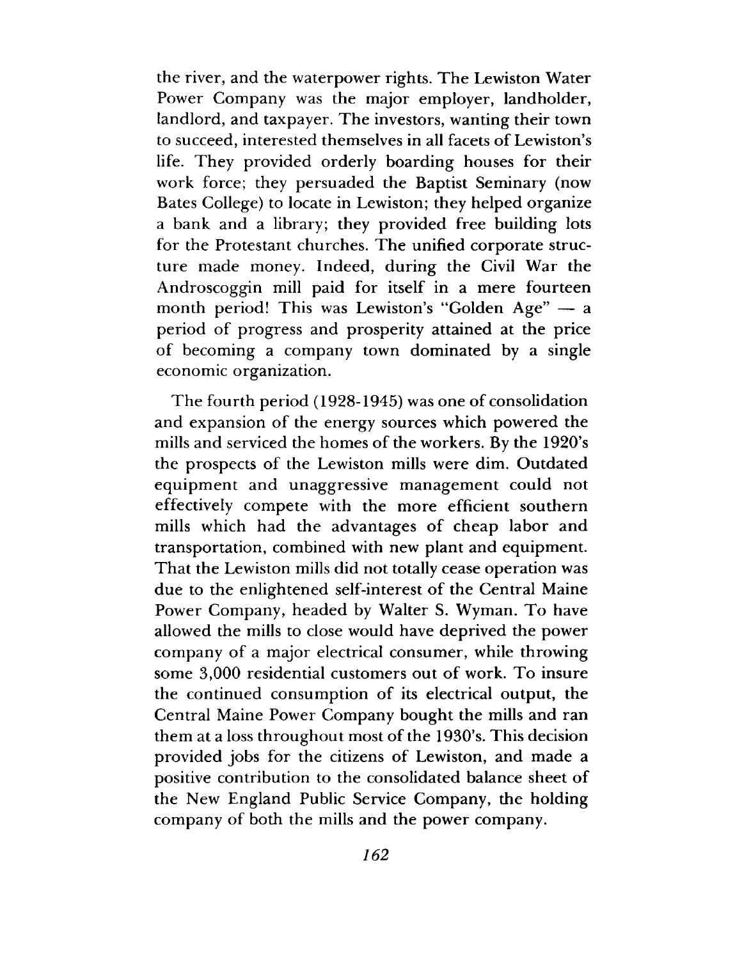the river, and the waterpower rights. The Lewiston Water Power Company was the major employer, landholder, landlord, and taxpayer. The investors, wanting their town to succeed, interested themselves in all facets of Lewiston's life. They provided orderly boarding houses for their work force; they persuaded the Baptist Seminary (now Bates College) to locate in Lewiston; they helped organize a bank and a library; they provided free building lots for the Protestant churches. The unified corporate structure made money. Indeed, during the Civil War the Androscoggin mill paid for itself in a mere fourteen month period! This was Lewiston's "Golden Age" — a period of progress and prosperity attained at the price of becoming a company town dominated by a single economic organization.

The fourth period (1928-1945) was one of consolidation and expansion of the energy sources which powered the mills and serviced the homes of the workers. By the 1920's the prospects of the Lewiston mills were dim. Outdated equipment and unaggressive management could not effectively compete with the more efficient southern mills which had the advantages of cheap labor and transportation, combined with new plant and equipment. That the Lewiston mills did not totally cease operation was due to the enlightened self-interest of the Central Maine Power Company, headed by Walter S. Wyman. To have allowed the mills to close would have deprived the power company of a major electrical consumer, while throwing some 3,000 residential customers out of work. To insure the continued consumption of its electrical output, the Central Maine Power Company bought the mills and ran them at a loss throughout most of the 1930's. This decision provided jobs for the citizens of Lewiston, and made a positive contribution to the consolidated balance sheet of the New England Public Service Company, the holding company of both the mills and the power company.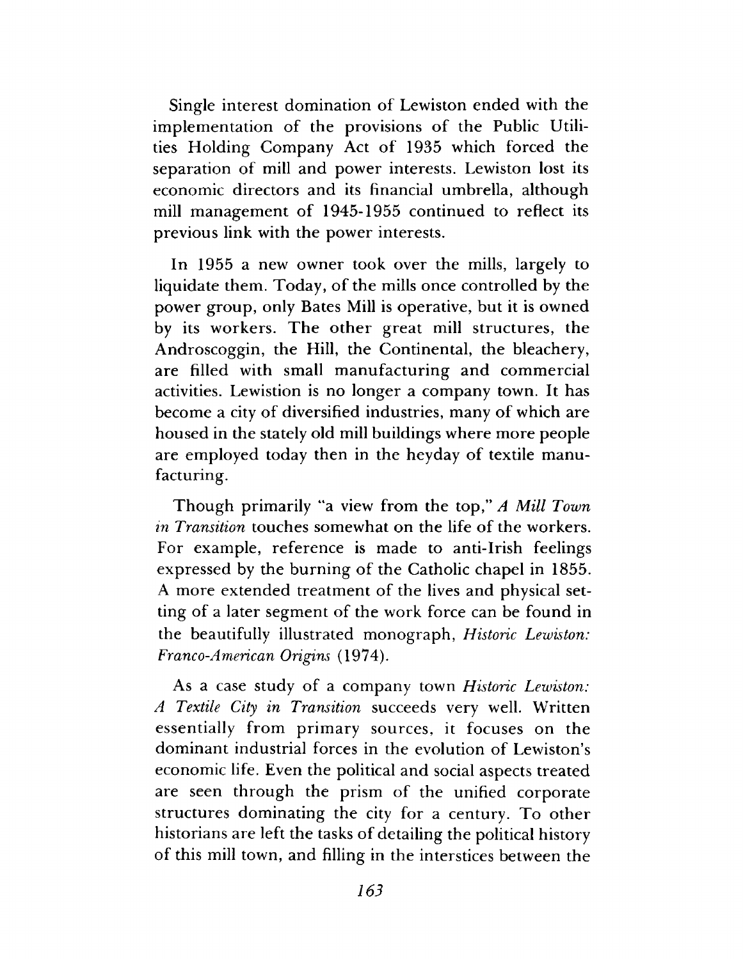Single interest domination of Lewiston ended with the implementation of the provisions of the Public Utilities Holding Company Act of 1935 which forced the separation of mill and power interests. Lewiston lost its economic directors and its financial umbrella, although mill management of 1945-1955 continued to reflect its previous link with the power interests.

In 1955 a new owner took over the mills, largely to liquidate them. Today, of the mills once controlled by the power group, only Bates Mill is operative, but it is owned by its workers. The other great mill structures, the Androscoggin, the Hill, the Continental, the bleachery, are filled with small manufacturing and commercial activities. Lewistion is no longer a company town. It has become a city of diversified industries, many of which are housed in the stately old mill buildings where more people are employed today then in the heyday of textile manufacturing.

Though primarily "a view from the top," *A Mill Town in Transition* touches somewhat on the life of the workers. For example, reference is made to anti-Irish feelings expressed by the burning of the Catholic chapel in 1855. A more extended treatment of the lives and physical setting of a later segment of the work force can be found in the beautifully illustrated monograph, *Historic Lewiston: Franco-American Origins* (1974).

As a case study of a company town *Historic Lewiston: A Textile City in Transition* succeeds very well. Written essentially from primary sources, it focuses on the dominant industrial forces in the evolution of Lewiston's economic life. Even the political and social aspects treated are seen through the prism of the unified corporate structures dominating the city for a century. To other historians are left the tasks of detailing the political history of this mill town, and filling in the interstices between the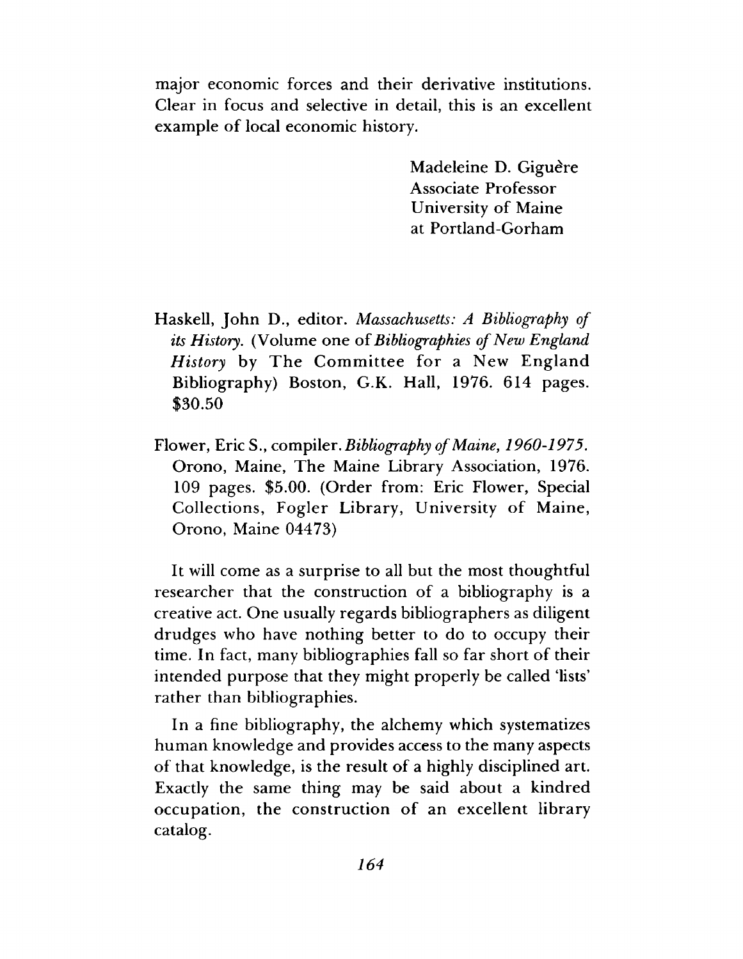major economic forces and their derivative institutions. Clear in focus and selective in detail, this is an excellent example of local economic history.

> Madeleine D. Giguère Associate Professor University of Maine at Portland-Gorham

- Haskell, John D., editor. *Massachusetts: A Bibliography of its History*. (Volume one of *Bibliographies of New England History* by The Committee for a New England Bibliography) Boston, G.K. Hall, 1976. 614 pages. \$30.50
- Flower, Eric S., compiler. *Bibliography of Maine*, *1960-1975.* Orono, Maine, The Maine Library Association, 1976. 109 pages. \$5.00. (Order from: Eric Flower, Special Collections, Fogler Library, University of Maine, Orono, Maine 04473)

It will come as a surprise to all but the most thoughtful researcher that the construction of a bibliography is a creative act. One usually regards bibliographers as diligent drudges who have nothing better to do to occupy their time. In fact, many bibliographies fall so far short of their intended purpose that they might properly be called 'lists' rather than bibliographies.

In a fine bibliography, the alchemy which systematizes human knowledge and provides access to the many aspects of that knowledge, is the result of a highly disciplined art. Exactly the same thing may be said about a kindred occupation, the construction of an excellent library catalog.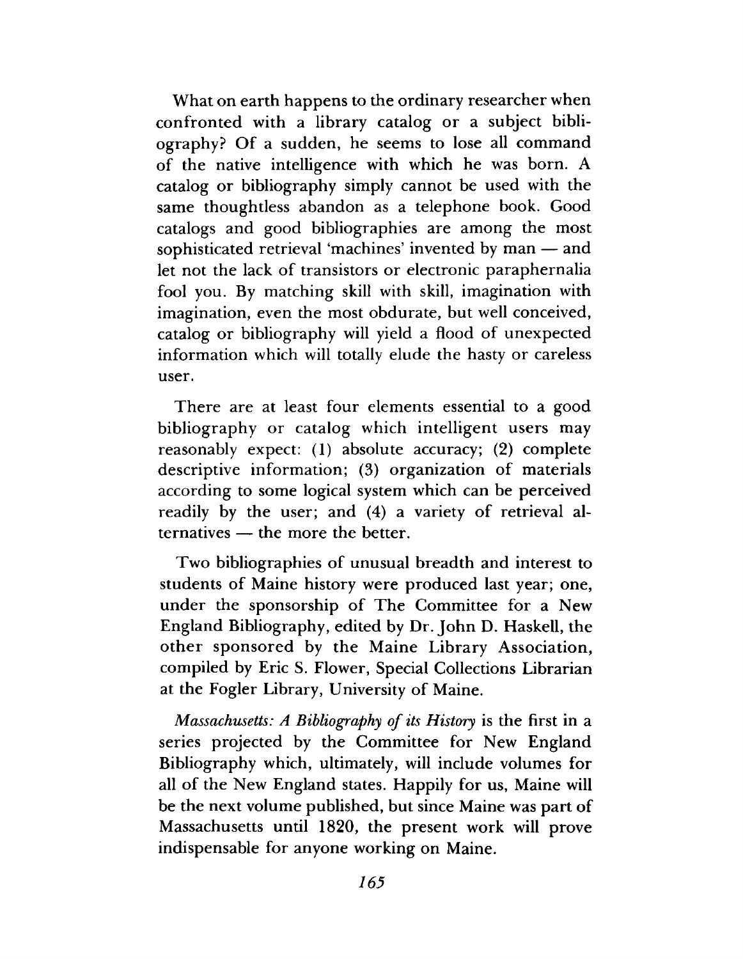What on earth happens to the ordinary researcher when confronted with a library catalog or a subject bibliography? Of a sudden, he seems to lose all command of the native intelligence with which he was born. A catalog or bibliography simply cannot be used with the same thoughtless abandon as a telephone book. Good catalogs and good bibliographies are among the most sophisticated retrieval 'machines' invented by man — and let not the lack of transistors or electronic paraphernalia fool you. By matching skill with skill, imagination with imagination, even the most obdurate, but well conceived, catalog or bibliography will yield a flood of unexpected information which will totally elude the hasty or careless user.

There are at least four elements essential to a good bibliography or catalog which intelligent users may reasonably expect: (1) absolute accuracy; (2) complete descriptive information; (3) organization of materials according to some logical system which can be perceived readily by the user; and (4) a variety of retrieval alternatives — the more the better.

Two bibliographies of unusual breadth and interest to students of Maine history were produced last year; one, under the sponsorship of The Committee for a New England Bibliography, edited by Dr. John D. Haskell, the other sponsored by the Maine Library Association, compiled by Eric S. Flower, Special Collections Librarian at the Fogler Library, University of Maine.

*Massachusetts: A Bibliography of its History* is the first in a series projected by the Committee for New England Bibliography which, ultimately, will include volumes for all of the New England states. Happily for us, Maine will be the next volume published, but since Maine was part of Massachusetts until 1820, the present work will prove indispensable for anyone working on Maine.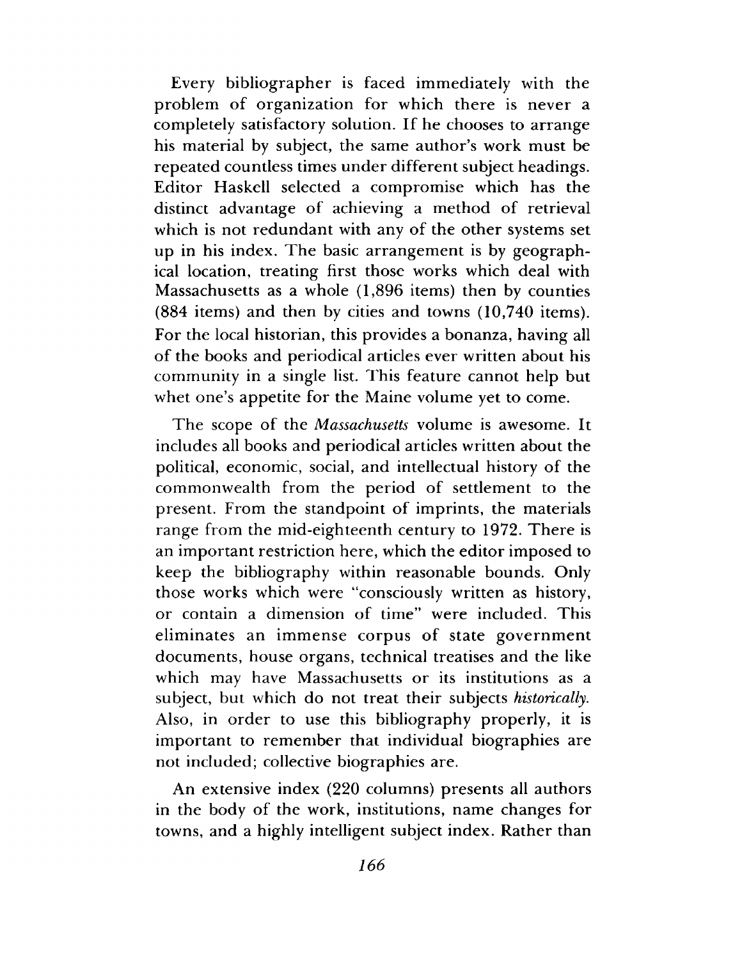Every bibliographer is faced immediately with the problem of organization for which there is never a completely satisfactory solution. If he chooses to arrange his material by subject, the same author's work must be repeated countless times under different subject headings. Editor Haskell selected a compromise which has the distinct advantage of achieving a method of retrieval which is not redundant with any of the other systems set up in his index. The basic arrangement is by geographical location, treating first those works which deal with Massachusetts as a whole (1,896 items) then by counties (884 items) and then by cities and towns (10,740 items). For the local historian, this provides a bonanza, having all of the books and periodical articles ever written about his community in a single list. This feature cannot help but whet one's appetite for the Maine volume yet to come.

The scope of the *Massachusetts* volume is awesome. It includes all books and periodical articles written about the political, economic, social, and intellectual history of the commonwealth from the period of settlement to the present. From the standpoint of imprints, the materials range from the mid-eighteenth century to 1972. There is an important restriction here, which the editor imposed to keep the bibliography within reasonable bounds. Only those works which were "consciously written as history, or contain a dimension of time" were included. This eliminates an immense corpus of state government documents, house organs, technical treatises and the like which may have Massachusetts or its institutions as a subject, but which do not treat their subjects *historically*. Also, in order to use this bibliography properly, it is important to remember that individual biographies are not included; collective biographies are.

An extensive index (220 columns) presents all authors in the body of the work, institutions, name changes for towns, and a highly intelligent subject index. Rather than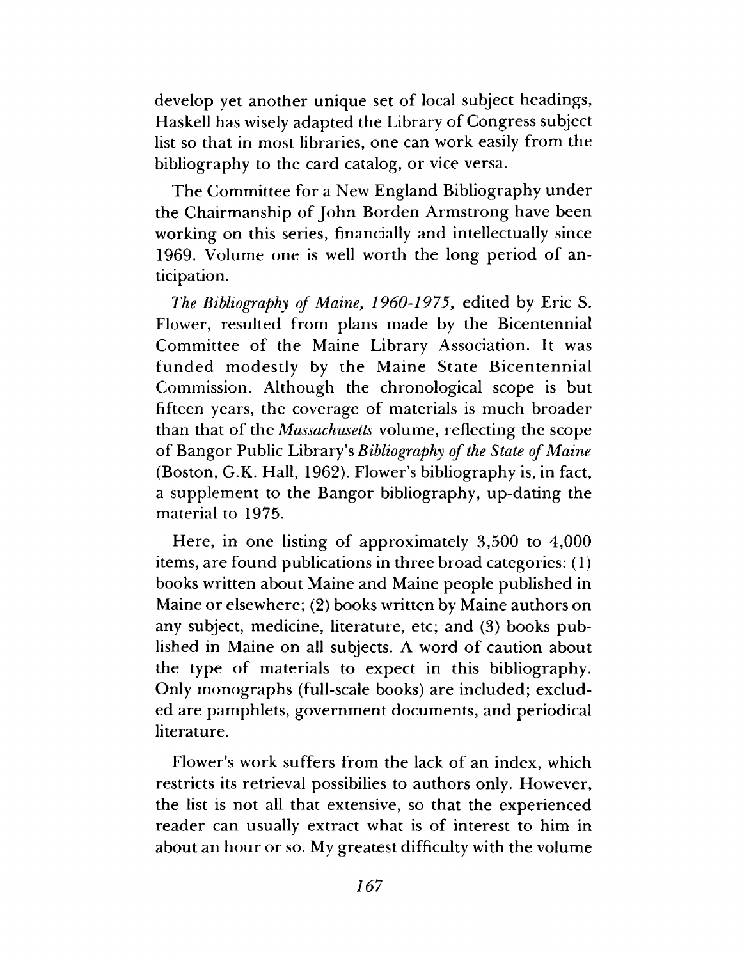develop yet another unique set of local subject headings, Haskell has wisely adapted the Library of Congress subject list so that in most libraries, one can work easily from the bibliography to the card catalog, or vice versa.

The Committee for a New England Bibliography under the Chairmanship of John Borden Armstrong have been working on this series, financially and intellectually since 1969. Volume one is well worth the long period of anticipation.

*The Bibliography of Maine*, *1960-1975,* edited by Eric S. Flower, resulted from plans made by the Bicentennial Committee of the Maine Library Association. It was funded modestly by the Maine State Bicentennial Commission. Although the chronological scope is but fifteen years, the coverage of materials is much broader than that of the *Massachusetts* volume, reflecting the scope of Bangor Public Library's *Bibliography of the State of Maine* (Boston, G.K. Hall, 1962). Flower's bibliography is, in fact, a supplement to the Bangor bibliography, up-dating the material to 1975.

Here, in one listing of approximately 3,500 to 4,000 items, are found publications in three broad categories: (1) books written about Maine and Maine people published in Maine or elsewhere; (2) books written by Maine authors on any subject, medicine, literature, etc; and (3) books published in Maine on all subjects. A word of caution about the type of materials to expect in this bibliography. Only monographs (full-scale books) are included; excluded are pamphlets, government documents, and periodical literature.

Flower's work suffers from the lack of an index, which restricts its retrieval possibilies to authors only. However, the list is not all that extensive, so that the experienced reader can usually extract what is of interest to him in about an hour or so. My greatest difficulty with the volume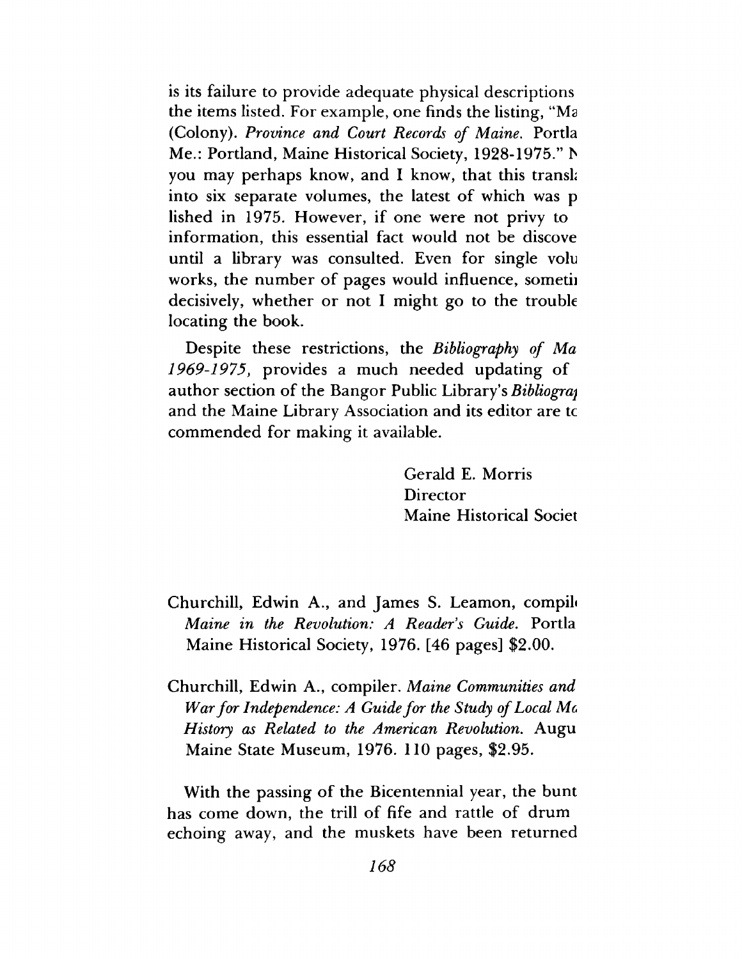is its failure to provide adequate physical descriptions the items listed. For example, one finds the listing, "Ma (Colony). *Province and Court Records of Maine.* Portia Me.: Portland, Maine Historical Society, 1928-1975." h you may perhaps know, and I know, that this transl; into six separate volumes, the latest of which was p lished in 1975. However, if one were not privy to information, this essential fact would not be discove until a library was consulted. Even for single volu works, the number of pages would influence, sometii decisively, whether or not I might go to the trouble locating the book.

Despite these restrictions, the *Bibliography of Ma 1969-1975*, provides a much needed updating of author section of the Bangor Public Library's *Bibliograj* and the Maine Library Association and its editor are tc commended for making it available.

> Gerald E. Morris Director Maine Historical Societ

- Churchill, Edwin A., and James S. Leamon, compile *Maine in the Revolution: A Reader s Guide*. Portia Maine Historical Society, 1976. [46 pages] \$2.00.
- Churchill, Edwin A., compiler. *Maine Communities and War for Independence: A Guide for the Study of Local Me History as Related to the American Revolution.* Augu Maine State Museum, 1976. 110 pages, \$2.95.

With the passing of the Bicentennial year, the bunt has come down, the trill of fife and rattle of drum echoing away, and the muskets have been returned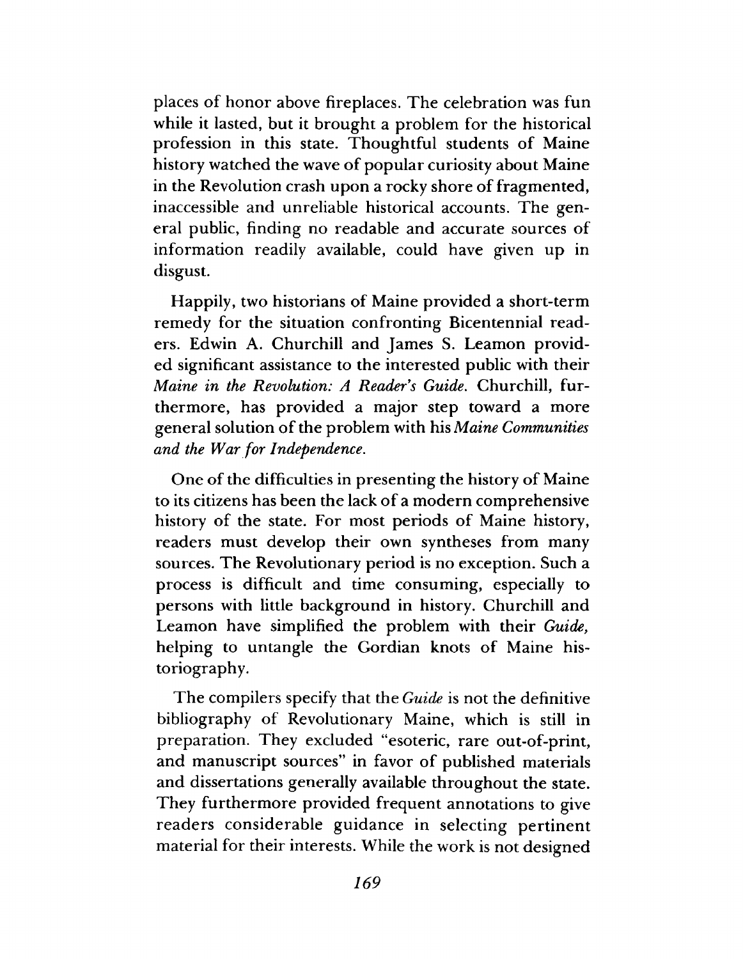places of honor above fireplaces. The celebration was fun while it lasted, but it brought a problem for the historical profession in this state. Thoughtful students of Maine history watched the wave of popular curiosity about Maine in the Revolution crash upon a rocky shore of fragmented, inaccessible and unreliable historical accounts. The general public, finding no readable and accurate sources of information readily available, could have given up in disgust.

Happily, two historians of Maine provided a short-term remedy for the situation confronting Bicentennial readers. Edwin A. Churchill and James S. Leamon provided significant assistance to the interested public with their *Maine in the Revolution: A Reader s Guide.* Churchill, furthermore, has provided a major step toward a more general solution of the problem with his *Maine Communities and the War for Independence.*

One of the difficulties in presenting the history of Maine to its citizens has been the lack of a modern comprehensive history of the state. For most periods of Maine history, readers must develop their own syntheses from many sources. The Revolutionary period is no exception. Such a process is difficult and time consuming, especially to persons with little background in history. Churchill and Leamon have simplified the problem with their *Guide*, helping to untangle the Gordian knots of Maine historiography.

The compilers specify that the *Guide* is not the definitive bibliography of Revolutionary Maine, which is still in preparation. They excluded "esoteric, rare out-of-print, and manuscript sources" in favor of published materials and dissertations generally available throughout the state. They furthermore provided frequent annotations to give readers considerable guidance in selecting pertinent material for their interests. While the work is not designed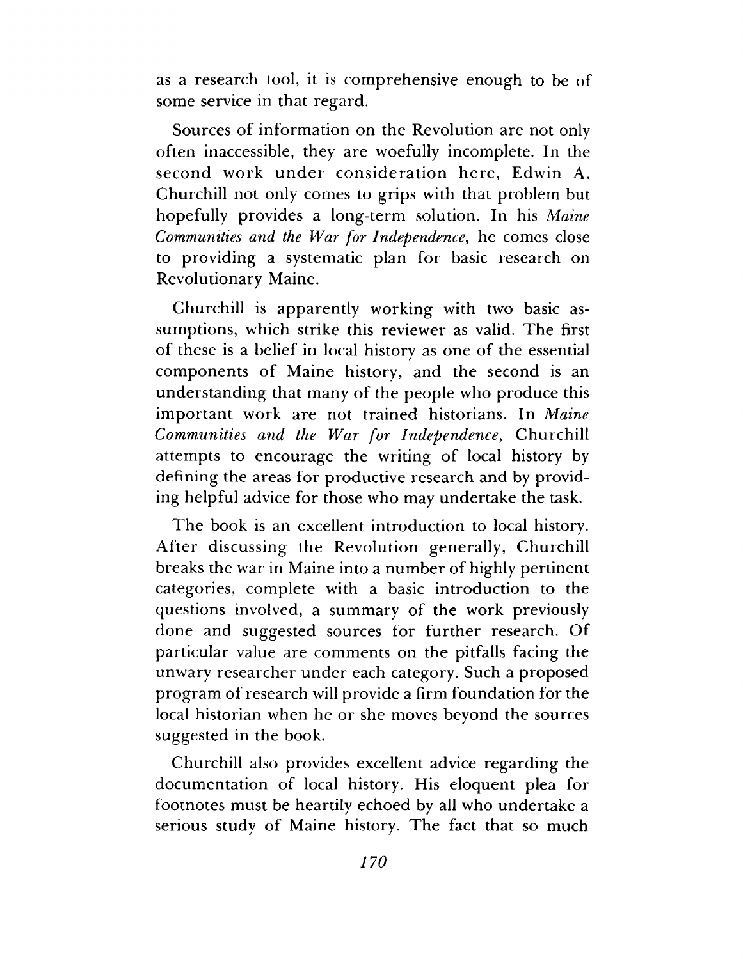as a research tool, it is comprehensive enough to be of some service in that regard.

Sources of information on the Revolution are not only often inaccessible, they are woefully incomplete. In the second work under consideration here, Edwin A. Churchill not only comes to grips with that problem but hopefully provides a long-term solution. In his *Maine Communities and the War for Independence*, he comes close to providing a systematic plan for basic research on Revolutionary Maine.

Churchill is apparently working with two basic assumptions, which strike this reviewer as valid. The first of these is a belief in local history as one of the essential components of Maine history, and the second is an understanding that many of the people who produce this important work are not trained historians. In *Maine Communities and the War for Independence,* Churchill attempts to encourage the writing of local history by defining the areas for productive research and by providing helpful advice for those who may undertake the task.

The book is an excellent introduction to local history. After discussing the Revolution generally, Churchill breaks the war in Maine into a number of highly pertinent categories, complete with a basic introduction to the questions involved, a summary of the work previously done and suggested sources for further research. Of particular value are comments on the pitfalls facing the unwary researcher under each category. Such a proposed program of research will provide a firm foundation for the local historian when he or she moves beyond the sources suggested in the book.

Churchill also provides excellent advice regarding the documentation of local history. His eloquent plea for footnotes must be heartily echoed by all who undertake a serious study of Maine history. The fact that so much